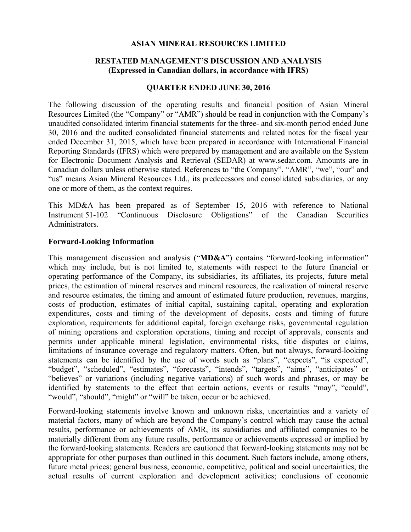## **ASIAN MINERAL RESOURCES LIMITED**

## **RESTATED MANAGEMENT'S DISCUSSION AND ANALYSIS (Expressed in Canadian dollars, in accordance with IFRS)**

#### **QUARTER ENDED JUNE 30, 2016**

The following discussion of the operating results and financial position of Asian Mineral Resources Limited (the "Company" or "AMR") should be read in conjunction with the Company's unaudited consolidated interim financial statements for the three- and six-month period ended June 30, 2016 and the audited consolidated financial statements and related notes for the fiscal year ended December 31, 2015, which have been prepared in accordance with International Financial Reporting Standards (IFRS) which were prepared by management and are available on the System for Electronic Document Analysis and Retrieval (SEDAR) at www.sedar.com. Amounts are in Canadian dollars unless otherwise stated. References to "the Company", "AMR", "we", "our" and "us" means Asian Mineral Resources Ltd., its predecessors and consolidated subsidiaries, or any one or more of them, as the context requires.

This MD&A has been prepared as of September 15, 2016 with reference to National Instrument 51-102 "Continuous Disclosure Obligations" of the Canadian Securities Administrators.

#### **Forward-Looking Information**

This management discussion and analysis ("**MD&A**") contains "forward-looking information" which may include, but is not limited to, statements with respect to the future financial or operating performance of the Company, its subsidiaries, its affiliates, its projects, future metal prices, the estimation of mineral reserves and mineral resources, the realization of mineral reserve and resource estimates, the timing and amount of estimated future production, revenues, margins, costs of production, estimates of initial capital, sustaining capital, operating and exploration expenditures, costs and timing of the development of deposits, costs and timing of future exploration, requirements for additional capital, foreign exchange risks, governmental regulation of mining operations and exploration operations, timing and receipt of approvals, consents and permits under applicable mineral legislation, environmental risks, title disputes or claims, limitations of insurance coverage and regulatory matters. Often, but not always, forward-looking statements can be identified by the use of words such as "plans", "expects", "is expected", "budget", "scheduled", "estimates", "forecasts", "intends", "targets", "aims", "anticipates" or "believes" or variations (including negative variations) of such words and phrases, or may be identified by statements to the effect that certain actions, events or results "may", "could", "would", "should", "might" or "will" be taken, occur or be achieved.

Forward-looking statements involve known and unknown risks, uncertainties and a variety of material factors, many of which are beyond the Company's control which may cause the actual results, performance or achievements of AMR, its subsidiaries and affiliated companies to be materially different from any future results, performance or achievements expressed or implied by the forward-looking statements. Readers are cautioned that forward-looking statements may not be appropriate for other purposes than outlined in this document. Such factors include, among others, future metal prices; general business, economic, competitive, political and social uncertainties; the actual results of current exploration and development activities; conclusions of economic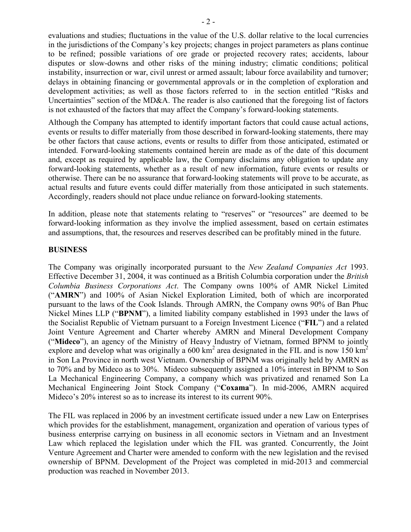evaluations and studies; fluctuations in the value of the U.S. dollar relative to the local currencies in the jurisdictions of the Company's key projects; changes in project parameters as plans continue to be refined; possible variations of ore grade or projected recovery rates; accidents, labour disputes or slow-downs and other risks of the mining industry; climatic conditions; political instability, insurrection or war, civil unrest or armed assault; labour force availability and turnover; delays in obtaining financing or governmental approvals or in the completion of exploration and development activities; as well as those factors referred to in the section entitled "Risks and Uncertainties" section of the MD&A. The reader is also cautioned that the foregoing list of factors is not exhausted of the factors that may affect the Company's forward-looking statements.

Although the Company has attempted to identify important factors that could cause actual actions, events or results to differ materially from those described in forward-looking statements, there may be other factors that cause actions, events or results to differ from those anticipated, estimated or intended. Forward-looking statements contained herein are made as of the date of this document and, except as required by applicable law, the Company disclaims any obligation to update any forward-looking statements, whether as a result of new information, future events or results or otherwise. There can be no assurance that forward-looking statements will prove to be accurate, as actual results and future events could differ materially from those anticipated in such statements. Accordingly, readers should not place undue reliance on forward-looking statements.

In addition, please note that statements relating to "reserves" or "resources" are deemed to be forward-looking information as they involve the implied assessment, based on certain estimates and assumptions, that, the resources and reserves described can be profitably mined in the future.

#### **BUSINESS**

The Company was originally incorporated pursuant to the *New Zealand Companies Act* 1993. Effective December 31, 2004, it was continued as a British Columbia corporation under the *British Columbia Business Corporations Act*. The Company owns 100% of AMR Nickel Limited ("**AMRN**") and 100% of Asian Nickel Exploration Limited, both of which are incorporated pursuant to the laws of the Cook Islands. Through AMRN, the Company owns 90% of Ban Phuc Nickel Mines LLP ("**BPNM**"), a limited liability company established in 1993 under the laws of the Socialist Republic of Vietnam pursuant to a Foreign Investment Licence ("**FIL**") and a related Joint Venture Agreement and Charter whereby AMRN and Mineral Development Company ("**Mideco**"), an agency of the Ministry of Heavy Industry of Vietnam, formed BPNM to jointly explore and develop what was originally a 600 km<sup>2</sup> area designated in the FIL and is now 150 km<sup>2</sup> in Son La Province in north west Vietnam. Ownership of BPNM was originally held by AMRN as to 70% and by Mideco as to 30%. Mideco subsequently assigned a 10% interest in BPNM to Son La Mechanical Engineering Company, a company which was privatized and renamed Son La Mechanical Engineering Joint Stock Company ("**Coxama**"). In mid-2006, AMRN acquired Mideco's 20% interest so as to increase its interest to its current 90%.

The FIL was replaced in 2006 by an investment certificate issued under a new Law on Enterprises which provides for the establishment, management, organization and operation of various types of business enterprise carrying on business in all economic sectors in Vietnam and an Investment Law which replaced the legislation under which the FIL was granted. Concurrently, the Joint Venture Agreement and Charter were amended to conform with the new legislation and the revised ownership of BPNM. Development of the Project was completed in mid-2013 and commercial production was reached in November 2013.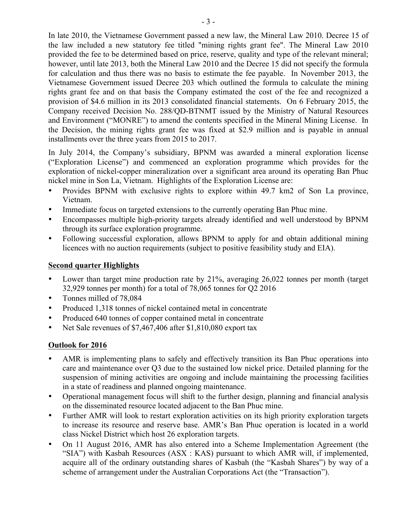In late 2010, the Vietnamese Government passed a new law, the Mineral Law 2010. Decree 15 of the law included a new statutory fee titled "mining rights grant fee". The Mineral Law 2010 provided the fee to be determined based on price, reserve, quality and type of the relevant mineral; however, until late 2013, both the Mineral Law 2010 and the Decree 15 did not specify the formula for calculation and thus there was no basis to estimate the fee payable. In November 2013, the Vietnamese Government issued Decree 203 which outlined the formula to calculate the mining rights grant fee and on that basis the Company estimated the cost of the fee and recognized a provision of \$4.6 million in its 2013 consolidated financial statements. On 6 February 2015, the Company received Decision No. 288/QD-BTNMT issued by the Ministry of Natural Resources and Environment ("MONRE") to amend the contents specified in the Mineral Mining License. In the Decision, the mining rights grant fee was fixed at \$2.9 million and is payable in annual installments over the three years from 2015 to 2017.

In July 2014, the Company's subsidiary, BPNM was awarded a mineral exploration license ("Exploration License") and commenced an exploration programme which provides for the exploration of nickel-copper mineralization over a significant area around its operating Ban Phuc nickel mine in Son La, Vietnam. Highlights of the Exploration License are:

- Provides BPNM with exclusive rights to explore within 49.7 km2 of Son La province, Vietnam.
- Immediate focus on targeted extensions to the currently operating Ban Phuc mine.
- Encompasses multiple high-priority targets already identified and well understood by BPNM through its surface exploration programme.
- Following successful exploration, allows BPNM to apply for and obtain additional mining licences with no auction requirements (subject to positive feasibility study and EIA).

## **Second quarter Highlights**

- Lower than target mine production rate by 21%, averaging 26,022 tonnes per month (target 32,929 tonnes per month) for a total of 78,065 tonnes for Q2 2016
- Tonnes milled of 78,084
- Produced 1,318 tonnes of nickel contained metal in concentrate
- Produced 640 tonnes of copper contained metal in concentrate
- Net Sale revenues of \$7,467,406 after \$1,810,080 export tax

## **Outlook for 2016**

- AMR is implementing plans to safely and effectively transition its Ban Phuc operations into care and maintenance over Q3 due to the sustained low nickel price. Detailed planning for the suspension of mining activities are ongoing and include maintaining the processing facilities in a state of readiness and planned ongoing maintenance.
- Operational management focus will shift to the further design, planning and financial analysis on the disseminated resource located adjacent to the Ban Phuc mine.
- Further AMR will look to restart exploration activities on its high priority exploration targets to increase its resource and reserve base. AMR's Ban Phuc operation is located in a world class Nickel District which host 26 exploration targets.
- On 11 August 2016, AMR has also entered into a Scheme Implementation Agreement (the "SIA") with Kasbah Resources (ASX : KAS) pursuant to which AMR will, if implemented, acquire all of the ordinary outstanding shares of Kasbah (the "Kasbah Shares") by way of a scheme of arrangement under the Australian Corporations Act (the "Transaction").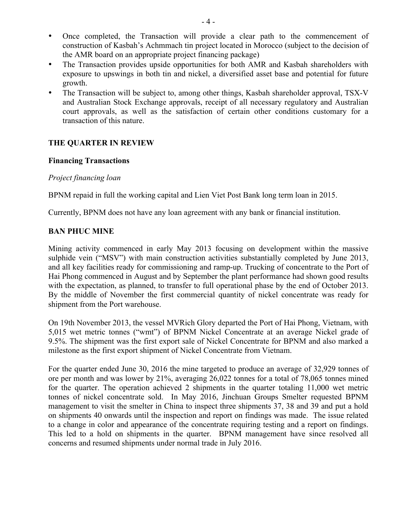- Once completed, the Transaction will provide a clear path to the commencement of construction of Kasbah's Achmmach tin project located in Morocco (subject to the decision of the AMR board on an appropriate project financing package)
- The Transaction provides upside opportunities for both AMR and Kasbah shareholders with exposure to upswings in both tin and nickel, a diversified asset base and potential for future growth.
- The Transaction will be subject to, among other things, Kasbah shareholder approval, TSX-V and Australian Stock Exchange approvals, receipt of all necessary regulatory and Australian court approvals, as well as the satisfaction of certain other conditions customary for a transaction of this nature.

## **THE QUARTER IN REVIEW**

## **Financing Transactions**

## *Project financing loan*

BPNM repaid in full the working capital and Lien Viet Post Bank long term loan in 2015.

Currently, BPNM does not have any loan agreement with any bank or financial institution.

## **BAN PHUC MINE**

Mining activity commenced in early May 2013 focusing on development within the massive sulphide vein ("MSV") with main construction activities substantially completed by June 2013, and all key facilities ready for commissioning and ramp-up. Trucking of concentrate to the Port of Hai Phong commenced in August and by September the plant performance had shown good results with the expectation, as planned, to transfer to full operational phase by the end of October 2013. By the middle of November the first commercial quantity of nickel concentrate was ready for shipment from the Port warehouse.

On 19th November 2013, the vessel MVRich Glory departed the Port of Hai Phong, Vietnam, with 5,015 wet metric tonnes ("wmt") of BPNM Nickel Concentrate at an average Nickel grade of 9.5%. The shipment was the first export sale of Nickel Concentrate for BPNM and also marked a milestone as the first export shipment of Nickel Concentrate from Vietnam.

For the quarter ended June 30, 2016 the mine targeted to produce an average of 32,929 tonnes of ore per month and was lower by 21%, averaging 26,022 tonnes for a total of 78,065 tonnes mined for the quarter. The operation achieved 2 shipments in the quarter totaling 11,000 wet metric tonnes of nickel concentrate sold. In May 2016, Jinchuan Groups Smelter requested BPNM management to visit the smelter in China to inspect three shipments 37, 38 and 39 and put a hold on shipments 40 onwards until the inspection and report on findings was made. The issue related to a change in color and appearance of the concentrate requiring testing and a report on findings. This led to a hold on shipments in the quarter. BPNM management have since resolved all concerns and resumed shipments under normal trade in July 2016.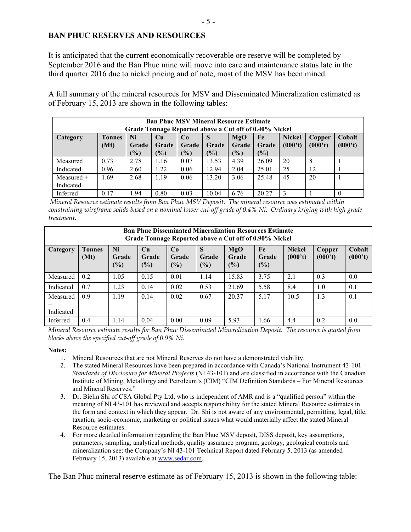## **BAN PHUC RESERVES AND RESOURCES**

It is anticipated that the current economically recoverable ore reserve will be completed by September 2016 and the Ban Phuc mine will move into care and maintenance status late in the third quarter 2016 due to nickel pricing and of note, most of the MSV has been mined.

A full summary of the mineral resources for MSV and Disseminated Mineralization estimated as of February 15, 2013 are shown in the following tables:

| <b>Ban Phuc MSV Mineral Resource Estimate</b><br>Grade Tonnage Reported above a Cut off of 0.40% Nickel |                                                                                                                                                                                                                                                              |      |      |      |       |      |       |    |    |  |
|---------------------------------------------------------------------------------------------------------|--------------------------------------------------------------------------------------------------------------------------------------------------------------------------------------------------------------------------------------------------------------|------|------|------|-------|------|-------|----|----|--|
| Category                                                                                                | Cobalt<br><b>Tonnes</b><br>Ni<br><b>Nickel</b><br>MgO<br>Cu<br>Fe<br>Co<br><b>Copper</b><br>S<br>(000't)<br>(000't)<br>(000't)<br>(Mt)<br>Grade<br>Grade<br>Grade<br>Grade<br>Grade<br>Grade<br>(0/0)<br>$\frac{9}{0}$<br>(%)<br>$\frac{1}{2}$<br>(%)<br>(%) |      |      |      |       |      |       |    |    |  |
| Measured                                                                                                | 0.73                                                                                                                                                                                                                                                         | 2.78 | 1.16 | 0.07 | 13.53 | 4.39 | 26.09 | 20 | 8  |  |
| Indicated                                                                                               | 0.96                                                                                                                                                                                                                                                         | 2.60 | 1.22 | 0.06 | 12.94 | 2.04 | 25.01 | 25 | 12 |  |
| Measured $+$<br>Indicated                                                                               | 1.69                                                                                                                                                                                                                                                         | 2.68 | 1.19 | 0.06 | 13.20 | 3.06 | 25.48 | 45 | 20 |  |
| Inferred                                                                                                | 0.17                                                                                                                                                                                                                                                         | l.94 | 0.80 | 0.03 | 10.04 | 6.76 | 20.27 | 3  |    |  |

*Mineral Resource estimate results from Ban Phuc MSV Deposit. The mineral resource was estimated within constraining wireframe solids based on a nominal lower cut-off grade of 0.4% Ni. Ordinary kriging with high grade treatment.*

| <b>Ban Phuc Disseminated Mineralization Resources Estimate</b><br>Grade Tonnage Reported above a Cut off of 0.90% Nickel |                       |                       |                    |                       |                      |                     |                    |                          |                          |                   |
|--------------------------------------------------------------------------------------------------------------------------|-----------------------|-----------------------|--------------------|-----------------------|----------------------|---------------------|--------------------|--------------------------|--------------------------|-------------------|
| Category                                                                                                                 | <b>Tonnes</b><br>(Mt) | Ni<br>Grade<br>$(\%)$ | Cu<br>Grade<br>(%) | Co<br>Grade<br>$(\%)$ | S<br>Grade<br>$(\%)$ | MgO<br>Grade<br>(%) | Fe<br>Grade<br>(%) | <b>Nickel</b><br>(000't) | <b>Copper</b><br>(000't) | Cobalt<br>(000't) |
| Measured                                                                                                                 | 0.2                   | 1.05                  | 0.15               | 0.01                  | 1.14                 | 15.83               | 3.75               | 2.1                      | 0.3                      | 0.0               |
| Indicated                                                                                                                | 0.7                   | 1.23                  | 0.14               | 0.02                  | 0.53                 | 21.69               | 5.58               | 8.4                      | 1.0                      | 0.1               |
| Measured<br>$^+$<br>Indicated                                                                                            | 0.9                   | 1.19                  | 0.14               | 0.02                  | 0.67                 | 20.37               | 5.17               | 10.5                     | 1.3                      | 0.1               |
| Inferred                                                                                                                 | 0.4                   | 1.14                  | 0.04               | 0.00                  | 0.09                 | 5.93                | 1.66               | 4.4                      | 0.2                      | 0.0               |

*Mineral Resource estimate results for Ban Phuc Disseminated Mineralization Deposit. The resource is quoted from blocks above the specified cut-off grade of 0.9% Ni.*

#### **Notes:**

- 1. Mineral Resources that are not Mineral Reserves do not have a demonstrated viability.
- 2. The stated Mineral Resources have been prepared in accordance with Canada's National Instrument 43-101 *Standards of Disclosure for Mineral Projects* (NI 43-101) and are classified in accordance with the Canadian Institute of Mining, Metallurgy and Petroleum's (CIM) "CIM Definition Standards – For Mineral Resources and Mineral Reserves."
- 3. Dr. Bielin Shi of CSA Global Pty Ltd, who is independent of AMR and is a "qualified person" within the meaning of NI 43-101 has reviewed and accepts responsibility for the stated Mineral Resource estimates in the form and context in which they appear. Dr. Shi is not aware of any environmental, permitting, legal, title, taxation, socio-economic, marketing or political issues what would materially affect the stated Mineral Resource estimates.
- 4. For more detailed information regarding the Ban Phuc MSV deposit, DISS deposit, key assumptions, parameters, sampling, analytical methods, quality assurance program, geology, geological controls and mineralization see: the Company's NI 43-101 Technical Report dated February 5, 2013 (as amended February 15, 2013) available at www.sedar.com.

The Ban Phuc mineral reserve estimate as of February 15, 2013 is shown in the following table: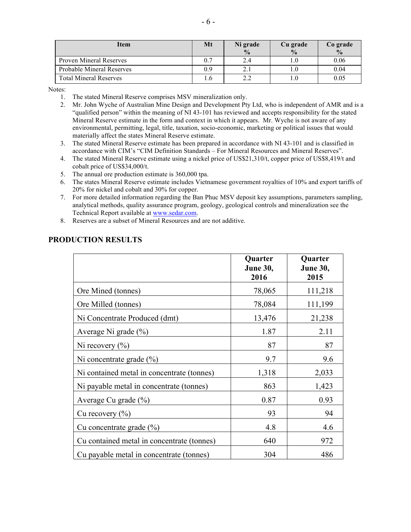| <b>Item</b>                      | Mt  | Ni grade<br>$\frac{0}{0}$ | Cu grade<br>$\frac{0}{0}$ | Co grade<br>$\frac{0}{0}$ |
|----------------------------------|-----|---------------------------|---------------------------|---------------------------|
| <b>Proven Mineral Reserves</b>   | 0.7 |                           |                           | 0.06                      |
| <b>Probable Mineral Reserves</b> | 0 ዓ |                           |                           | 0.04                      |
| <b>Total Mineral Reserves</b>    |     |                           |                           | 0.05                      |

Notes:

- 1. The stated Mineral Reserve comprises MSV mineralization only.
- 2. Mr. John Wyche of Australian Mine Design and Development Pty Ltd, who is independent of AMR and is a "qualified person" within the meaning of NI 43-101 has reviewed and accepts responsibility for the stated Mineral Reserve estimate in the form and context in which it appears. Mr. Wyche is not aware of any environmental, permitting, legal, title, taxation, socio-economic, marketing or political issues that would materially affect the states Mineral Reserve estimate.
- 3. The stated Mineral Reserve estimate has been prepared in accordance with NI 43-101 and is classified in accordance with CIM's "CIM Definition Standards – For Mineral Resources and Mineral Reserves".
- 4. The stated Mineral Reserve estimate using a nickel price of US\$21,310/t, copper price of US\$8,419/t and cobalt price of US\$34,000/t.
- 5. The annual ore production estimate is 360,000 tpa.
- 6. The states Mineral Reserve estimate includes Vietnamese government royalties of 10% and export tariffs of 20% for nickel and cobalt and 30% for copper.
- 7. For more detailed information regarding the Ban Phuc MSV deposit key assumptions, parameters sampling, analytical methods, quality assurance program, geology, geological controls and mineralization see the Technical Report available at www.sedar.com.
- 8. Reserves are a subset of Mineral Resources and are not additive.

|                                            | Quarter<br><b>June 30,</b><br>2016 | Quarter<br>June 30,<br>2015 |
|--------------------------------------------|------------------------------------|-----------------------------|
| Ore Mined (tonnes)                         | 78,065                             | 111,218                     |
| Ore Milled (tonnes)                        | 78,084                             | 111,199                     |
| Ni Concentrate Produced (dmt)              | 13,476                             | 21,238                      |
| Average Ni grade $(\% )$                   | 1.87                               | 2.11                        |
| Ni recovery $(\% )$                        | 87                                 | 87                          |
| Ni concentrate grade $(\% )$               | 9.7                                | 9.6                         |
| Ni contained metal in concentrate (tonnes) | 1,318                              | 2,033                       |
| Ni payable metal in concentrate (tonnes)   | 863                                | 1,423                       |
| Average Cu grade $(\% )$                   | 0.87                               | 0.93                        |
| Cu recovery $(\% )$                        | 93                                 | 94                          |
| Cu concentrate grade $(\% )$               | 4.8                                | 4.6                         |
| Cu contained metal in concentrate (tonnes) | 640                                | 972                         |
| Cu payable metal in concentrate (tonnes)   | 304                                | 486                         |

## **PRODUCTION RESULTS**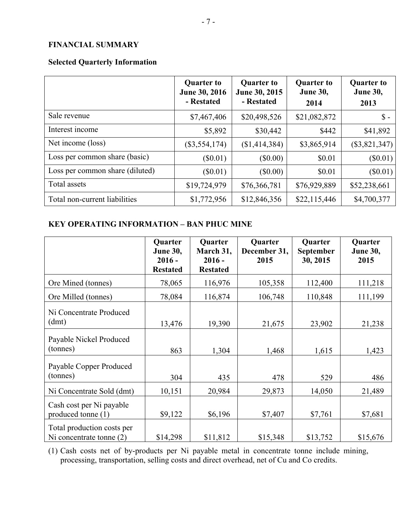# **FINANCIAL SUMMARY**

## **Selected Quarterly Information**

|                                 | <b>Quarter to</b><br>June 30, 2016<br>- Restated | <b>Quarter to</b><br>June 30, 2015<br>- Restated | <b>Quarter to</b><br><b>June 30,</b><br>2014 | <b>Quarter to</b><br><b>June 30,</b><br>2013 |
|---------------------------------|--------------------------------------------------|--------------------------------------------------|----------------------------------------------|----------------------------------------------|
| Sale revenue                    | \$7,467,406                                      | \$20,498,526                                     | \$21,082,872                                 | $\mathbb{S}$ -                               |
| Interest income                 | \$5,892                                          | \$30,442                                         | \$442                                        | \$41,892                                     |
| Net income (loss)               | $(\$3,554,174)$                                  | (\$1,414,384)                                    | \$3,865,914                                  | $(\$3,821,347)$                              |
| Loss per common share (basic)   | $(\$0.01)$                                       | $(\$0.00)$                                       | \$0.01                                       | $(\$0.01)$                                   |
| Loss per common share (diluted) | $(\$0.01)$                                       | $(\$0.00)$                                       | \$0.01                                       | $(\$0.01)$                                   |
| Total assets                    | \$19,724,979                                     | \$76,366,781                                     | \$76,929,889                                 | \$52,238,661                                 |
| Total non-current liabilities   | \$1,772,956                                      | \$12,846,356                                     | \$22,115,446                                 | \$4,700,377                                  |

# **KEY OPERATING INFORMATION – BAN PHUC MINE**

|                                                          | Quarter<br><b>June 30,</b><br>$2016 -$<br><b>Restated</b> | Quarter<br>March 31,<br>$2016 -$<br><b>Restated</b> | Quarter<br>December 31,<br>2015 | Quarter<br><b>September</b><br>30, 2015 | Quarter<br><b>June 30,</b><br>2015 |
|----------------------------------------------------------|-----------------------------------------------------------|-----------------------------------------------------|---------------------------------|-----------------------------------------|------------------------------------|
| Ore Mined (tonnes)                                       | 78,065                                                    | 116,976                                             | 105,358                         | 112,400                                 | 111,218                            |
| Ore Milled (tonnes)                                      | 78,084                                                    | 116,874                                             | 106,748                         | 110,848                                 | 111,199                            |
| Ni Concentrate Produced<br>(dmt)                         | 13,476                                                    | 19,390                                              | 21,675                          | 23,902                                  | 21,238                             |
| Payable Nickel Produced<br>(tonnes)                      | 863                                                       | 1,304                                               | 1,468                           | 1,615                                   | 1,423                              |
| Payable Copper Produced<br>(tonnes)                      | 304                                                       | 435                                                 | 478                             | 529                                     | 486                                |
| Ni Concentrate Sold (dmt)                                | 10,151                                                    | 20,984                                              | 29,873                          | 14,050                                  | 21,489                             |
| Cash cost per Ni payable<br>produced tonne (1)           | \$9,122                                                   | \$6,196                                             | \$7,407                         | \$7,761                                 | \$7,681                            |
| Total production costs per<br>Ni concentrate tonne $(2)$ | \$14,298                                                  | \$11,812                                            | \$15,348                        | \$13,752                                | \$15,676                           |

(1) Cash costs net of by-products per Ni payable metal in concentrate tonne include mining, processing, transportation, selling costs and direct overhead, net of Cu and Co credits.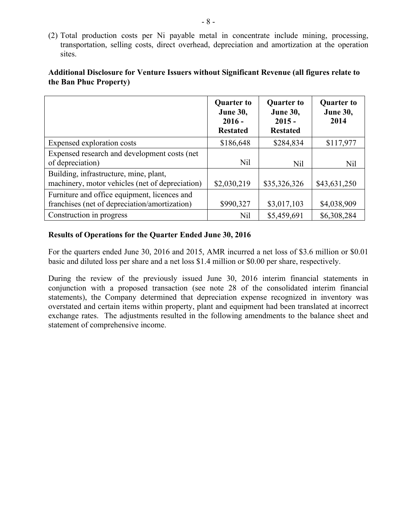(2) Total production costs per Ni payable metal in concentrate include mining, processing, transportation, selling costs, direct overhead, depreciation and amortization at the operation sites.

# **Additional Disclosure for Venture Issuers without Significant Revenue (all figures relate to the Ban Phuc Property)**

|                                                                                               | <b>Quarter to</b><br><b>June 30,</b><br>$2016 -$<br><b>Restated</b> | <b>Quarter to</b><br><b>June 30,</b><br>$2015 -$<br><b>Restated</b> | <b>Quarter to</b><br><b>June 30,</b><br>2014 |
|-----------------------------------------------------------------------------------------------|---------------------------------------------------------------------|---------------------------------------------------------------------|----------------------------------------------|
| Expensed exploration costs                                                                    | \$186,648                                                           | \$284,834                                                           | \$117,977                                    |
| Expensed research and development costs (net)<br>of depreciation)                             | Nil                                                                 | <b>Nil</b>                                                          | N <sub>il</sub>                              |
| Building, infrastructure, mine, plant,<br>machinery, motor vehicles (net of depreciation)     | \$2,030,219                                                         | \$35,326,326                                                        | \$43,631,250                                 |
| Furniture and office equipment, licences and<br>franchises (net of depreciation/amortization) | \$990,327                                                           | \$3,017,103                                                         | \$4,038,909                                  |
| Construction in progress                                                                      | Nil                                                                 | \$5,459,691                                                         | \$6,308,284                                  |

## **Results of Operations for the Quarter Ended June 30, 2016**

For the quarters ended June 30, 2016 and 2015, AMR incurred a net loss of \$3.6 million or \$0.01 basic and diluted loss per share and a net loss \$1.4 million or \$0.00 per share, respectively.

During the review of the previously issued June 30, 2016 interim financial statements in conjunction with a proposed transaction (see note 28 of the consolidated interim financial statements), the Company determined that depreciation expense recognized in inventory was overstated and certain items within property, plant and equipment had been translated at incorrect exchange rates. The adjustments resulted in the following amendments to the balance sheet and statement of comprehensive income.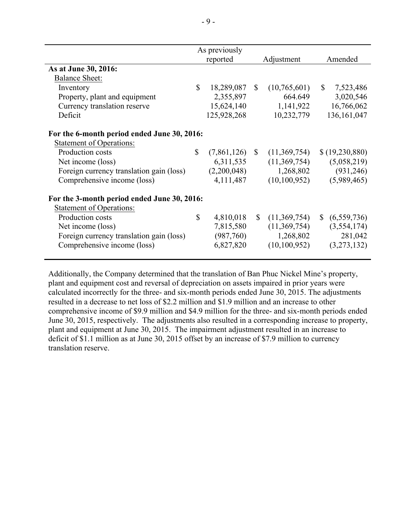|                                             |             | As previously    |              |                |                |                |
|---------------------------------------------|-------------|------------------|--------------|----------------|----------------|----------------|
|                                             |             | reported         |              | Adjustment     |                | Amended        |
| As at June 30, 2016:                        |             |                  |              |                |                |                |
| <b>Balance Sheet:</b>                       |             |                  |              |                |                |                |
| Inventory                                   | $\mathbf S$ | 18,289,087       | <sup>S</sup> | (10,765,601)   | $\mathbb{S}^-$ | 7,523,486      |
| Property, plant and equipment               |             | 2,355,897        |              | 664.649        |                | 3,020,546      |
| Currency translation reserve                |             | 15,624,140       |              | 1,141,922      |                | 16,766,062     |
| Deficit                                     |             | 125,928,268      |              | 10,232,779     |                | 136, 161, 047  |
|                                             |             |                  |              |                |                |                |
| For the 6-month period ended June 30, 2016: |             |                  |              |                |                |                |
| <b>Statement of Operations:</b>             |             |                  |              |                |                |                |
| Production costs                            | \$          | $(7,861,126)$ \$ |              | (11,369,754)   |                | \$(19,230,880) |
| Net income (loss)                           |             | 6,311,535        |              | (11,369,754)   |                | (5,058,219)    |
| Foreign currency translation gain (loss)    |             | (2,200,048)      |              | 1,268,802      |                | (931, 246)     |
| Comprehensive income (loss)                 |             | 4,111,487        |              | (10, 100, 952) |                | (5,989,465)    |
| For the 3-month period ended June 30, 2016: |             |                  |              |                |                |                |
| <b>Statement of Operations:</b>             |             |                  |              |                |                |                |
| Production costs                            | \$          | 4,810,018        | $\mathbb{S}$ | (11,369,754)   |                | (6,559,736)    |
|                                             |             |                  |              |                |                |                |
| Net income (loss)                           |             | 7,815,580        |              | (11,369,754)   |                | (3,554,174)    |
| Foreign currency translation gain (loss)    |             | (987,760)        |              | 1,268,802      |                | 281,042        |
| Comprehensive income (loss)                 |             | 6,827,820        |              | (10, 100, 952) |                | (3,273,132)    |

Additionally, the Company determined that the translation of Ban Phuc Nickel Mine's property, plant and equipment cost and reversal of depreciation on assets impaired in prior years were calculated incorrectly for the three- and six-month periods ended June 30, 2015. The adjustments resulted in a decrease to net loss of \$2.2 million and \$1.9 million and an increase to other comprehensive income of \$9.9 million and \$4.9 million for the three- and six-month periods ended June 30, 2015, respectively. The adjustments also resulted in a corresponding increase to property, plant and equipment at June 30, 2015. The impairment adjustment resulted in an increase to deficit of \$1.1 million as at June 30, 2015 offset by an increase of \$7.9 million to currency translation reserve.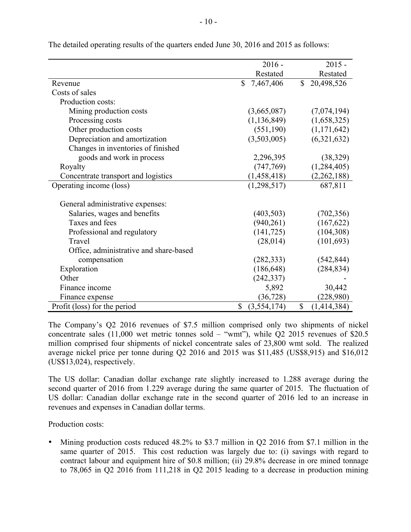|                                        | $2016 -$          |                             | $2015 -$   |
|----------------------------------------|-------------------|-----------------------------|------------|
|                                        | Restated          |                             | Restated   |
| Revenue                                | 7,467,406<br>\$   | $\mathbb{S}$<br>20,498,526  |            |
| Costs of sales                         |                   |                             |            |
| Production costs:                      |                   |                             |            |
| Mining production costs                | (3,665,087)       | (7,074,194)                 |            |
| Processing costs                       | (1, 136, 849)     | (1,658,325)                 |            |
| Other production costs                 | (551, 190)        | (1, 171, 642)               |            |
| Depreciation and amortization          | (3,503,005)       | (6,321,632)                 |            |
| Changes in inventories of finished     |                   |                             |            |
| goods and work in process              | 2,296,395         |                             | (38, 329)  |
| Royalty                                | (747, 769)        | (1,284,405)                 |            |
| Concentrate transport and logistics    | (1,458,418)       | (2,262,188)                 |            |
| Operating income (loss)                | (1, 298, 517)     |                             | 687,811    |
| General administrative expenses:       |                   |                             |            |
| Salaries, wages and benefits           | (403, 503)        |                             | (702, 356) |
| Taxes and fees                         | (940, 261)        |                             | (167, 622) |
| Professional and regulatory            | (141, 725)        |                             | (104, 308) |
| Travel                                 | (28, 014)         |                             | (101, 693) |
| Office, administrative and share-based |                   |                             |            |
| compensation                           | (282, 333)        |                             | (542, 844) |
| Exploration                            | (186, 648)        |                             | (284, 834) |
| Other                                  | (242, 337)        |                             |            |
| Finance income                         | 5,892             |                             | 30,442     |
| Finance expense                        | (36, 728)         |                             | (228,980)  |
| Profit (loss) for the period           | \$<br>(3,554,174) | $\mathbb{S}$<br>(1,414,384) |            |

The detailed operating results of the quarters ended June 30, 2016 and 2015 as follows:

The Company's Q2 2016 revenues of \$7.5 million comprised only two shipments of nickel concentrate sales  $(11,000$  wet metric tonnes sold – "wmt"), while Q2 2015 revenues of \$20.5 million comprised four shipments of nickel concentrate sales of 23,800 wmt sold. The realized average nickel price per tonne during Q2 2016 and 2015 was \$11,485 (US\$8,915) and \$16,012 (US\$13,024), respectively.

The US dollar: Canadian dollar exchange rate slightly increased to 1.288 average during the second quarter of 2016 from 1.229 average during the same quarter of 2015. The fluctuation of US dollar: Canadian dollar exchange rate in the second quarter of 2016 led to an increase in revenues and expenses in Canadian dollar terms.

Production costs:

• Mining production costs reduced 48.2% to \$3.7 million in Q2 2016 from \$7.1 million in the same quarter of 2015. This cost reduction was largely due to: (i) savings with regard to contract labour and equipment hire of \$0.8 million; (ii) 29.8% decrease in ore mined tonnage to 78,065 in Q2 2016 from 111,218 in Q2 2015 leading to a decrease in production mining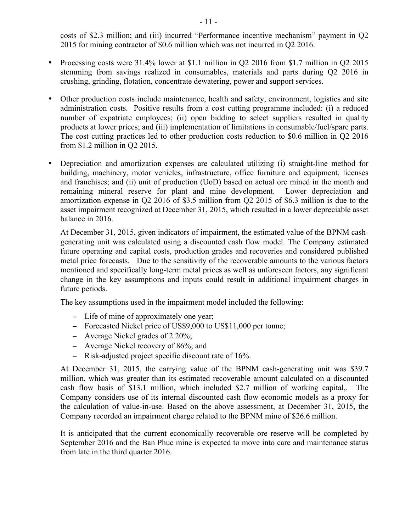costs of \$2.3 million; and (iii) incurred "Performance incentive mechanism" payment in Q2 2015 for mining contractor of \$0.6 million which was not incurred in Q2 2016.

- Processing costs were 31.4% lower at \$1.1 million in Q2 2016 from \$1.7 million in Q2 2015 stemming from savings realized in consumables, materials and parts during Q2 2016 in crushing, grinding, flotation, concentrate dewatering, power and support services.
- Other production costs include maintenance, health and safety, environment, logistics and site administration costs. Positive results from a cost cutting programme included: (i) a reduced number of expatriate employees; (ii) open bidding to select suppliers resulted in quality products at lower prices; and (iii) implementation of limitations in consumable/fuel/spare parts. The cost cutting practices led to other production costs reduction to \$0.6 million in Q2 2016 from \$1.2 million in Q2 2015.
- Depreciation and amortization expenses are calculated utilizing (i) straight-line method for building, machinery, motor vehicles, infrastructure, office furniture and equipment, licenses and franchises; and (ii) unit of production (UoD) based on actual ore mined in the month and remaining mineral reserve for plant and mine development. Lower depreciation and amortization expense in Q2 2016 of \$3.5 million from Q2 2015 of \$6.3 million is due to the asset impairment recognized at December 31, 2015, which resulted in a lower depreciable asset balance in 2016.

At December 31, 2015, given indicators of impairment, the estimated value of the BPNM cashgenerating unit was calculated using a discounted cash flow model. The Company estimated future operating and capital costs, production grades and recoveries and considered published metal price forecasts. Due to the sensitivity of the recoverable amounts to the various factors mentioned and specifically long-term metal prices as well as unforeseen factors, any significant change in the key assumptions and inputs could result in additional impairment charges in future periods.

The key assumptions used in the impairment model included the following:

- − Life of mine of approximately one year;
- − Forecasted Nickel price of US\$9,000 to US\$11,000 per tonne;
- − Average Nickel grades of 2.20%;
- − Average Nickel recovery of 86%; and
- − Risk-adjusted project specific discount rate of 16%.

At December 31, 2015, the carrying value of the BPNM cash-generating unit was \$39.7 million, which was greater than its estimated recoverable amount calculated on a discounted cash flow basis of \$13.1 million, which included \$2.7 million of working capital,. The Company considers use of its internal discounted cash flow economic models as a proxy for the calculation of value-in-use. Based on the above assessment, at December 31, 2015, the Company recorded an impairment charge related to the BPNM mine of \$26.6 million.

It is anticipated that the current economically recoverable ore reserve will be completed by September 2016 and the Ban Phuc mine is expected to move into care and maintenance status from late in the third quarter 2016.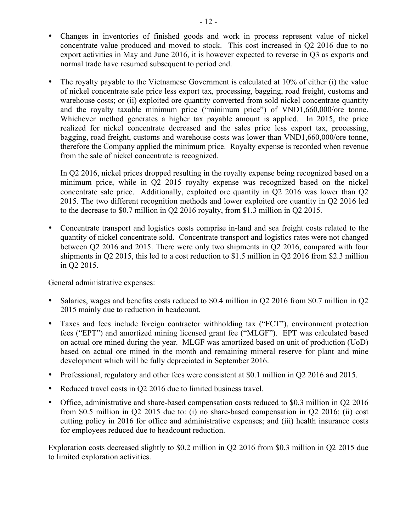- Changes in inventories of finished goods and work in process represent value of nickel concentrate value produced and moved to stock. This cost increased in Q2 2016 due to no export activities in May and June 2016, it is however expected to reverse in Q3 as exports and normal trade have resumed subsequent to period end.
- The royalty payable to the Vietnamese Government is calculated at 10% of either (i) the value of nickel concentrate sale price less export tax, processing, bagging, road freight, customs and warehouse costs; or (ii) exploited ore quantity converted from sold nickel concentrate quantity and the royalty taxable minimum price ("minimum price") of VND1,660,000/ore tonne. Whichever method generates a higher tax payable amount is applied. In 2015, the price realized for nickel concentrate decreased and the sales price less export tax, processing, bagging, road freight, customs and warehouse costs was lower than VND1,660,000/ore tonne, therefore the Company applied the minimum price. Royalty expense is recorded when revenue from the sale of nickel concentrate is recognized.

In Q2 2016, nickel prices dropped resulting in the royalty expense being recognized based on a minimum price, while in Q2 2015 royalty expense was recognized based on the nickel concentrate sale price. Additionally, exploited ore quantity in Q2 2016 was lower than Q2 2015. The two different recognition methods and lower exploited ore quantity in Q2 2016 led to the decrease to \$0.7 million in Q2 2016 royalty, from \$1.3 million in Q2 2015.

• Concentrate transport and logistics costs comprise in-land and sea freight costs related to the quantity of nickel concentrate sold. Concentrate transport and logistics rates were not changed between Q2 2016 and 2015. There were only two shipments in Q2 2016, compared with four shipments in Q2 2015, this led to a cost reduction to \$1.5 million in Q2 2016 from \$2.3 million in Q2 2015.

General administrative expenses:

- Salaries, wages and benefits costs reduced to \$0.4 million in Q2 2016 from \$0.7 million in Q2 2015 mainly due to reduction in headcount.
- Taxes and fees include foreign contractor withholding tax ("FCT"), environment protection fees ("EPT") and amortized mining licensed grant fee ("MLGF"). EPT was calculated based on actual ore mined during the year. MLGF was amortized based on unit of production (UoD) based on actual ore mined in the month and remaining mineral reserve for plant and mine development which will be fully depreciated in September 2016.
- Professional, regulatory and other fees were consistent at \$0.1 million in Q2 2016 and 2015.
- Reduced travel costs in Q2 2016 due to limited business travel.
- Office, administrative and share-based compensation costs reduced to \$0.3 million in Q2 2016 from \$0.5 million in Q2 2015 due to: (i) no share-based compensation in Q2 2016; (ii) cost cutting policy in 2016 for office and administrative expenses; and (iii) health insurance costs for employees reduced due to headcount reduction.

Exploration costs decreased slightly to \$0.2 million in Q2 2016 from \$0.3 million in Q2 2015 due to limited exploration activities.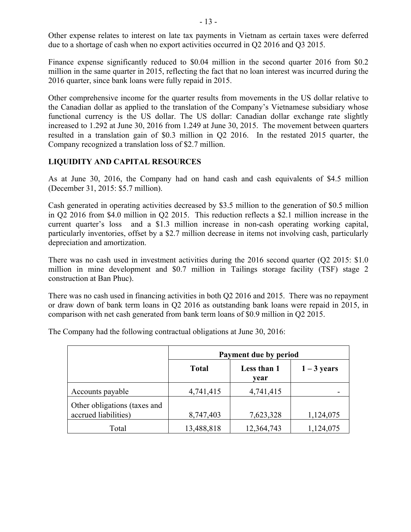Other expense relates to interest on late tax payments in Vietnam as certain taxes were deferred due to a shortage of cash when no export activities occurred in Q2 2016 and Q3 2015.

Finance expense significantly reduced to \$0.04 million in the second quarter 2016 from \$0.2 million in the same quarter in 2015, reflecting the fact that no loan interest was incurred during the 2016 quarter, since bank loans were fully repaid in 2015.

Other comprehensive income for the quarter results from movements in the US dollar relative to the Canadian dollar as applied to the translation of the Company's Vietnamese subsidiary whose functional currency is the US dollar. The US dollar: Canadian dollar exchange rate slightly increased to 1.292 at June 30, 2016 from 1.249 at June 30, 2015. The movement between quarters resulted in a translation gain of \$0.3 million in Q2 2016. In the restated 2015 quarter, the Company recognized a translation loss of \$2.7 million.

# **LIQUIDITY AND CAPITAL RESOURCES**

As at June 30, 2016, the Company had on hand cash and cash equivalents of \$4.5 million (December 31, 2015: \$5.7 million).

Cash generated in operating activities decreased by \$3.5 million to the generation of \$0.5 million in Q2 2016 from \$4.0 million in Q2 2015. This reduction reflects a \$2.1 million increase in the current quarter's loss and a \$1.3 million increase in non-cash operating working capital, particularly inventories, offset by a \$2.7 million decrease in items not involving cash, particularly depreciation and amortization.

There was no cash used in investment activities during the 2016 second quarter (O2 2015: \$1.0) million in mine development and \$0.7 million in Tailings storage facility (TSF) stage 2 construction at Ban Phuc).

There was no cash used in financing activities in both Q2 2016 and 2015. There was no repayment or draw down of bank term loans in Q2 2016 as outstanding bank loans were repaid in 2015, in comparison with net cash generated from bank term loans of \$0.9 million in Q2 2015.

|                                                      | Payment due by period |                     |               |  |  |
|------------------------------------------------------|-----------------------|---------------------|---------------|--|--|
|                                                      | <b>Total</b>          | Less than 1<br>vear | $1 - 3$ years |  |  |
| Accounts payable                                     | 4,741,415             | 4,741,415           |               |  |  |
| Other obligations (taxes and<br>accrued liabilities) | 8,747,403             | 7,623,328           | 1,124,075     |  |  |
| Total                                                | 13,488,818            | 12,364,743          | 1,124,075     |  |  |

The Company had the following contractual obligations at June 30, 2016: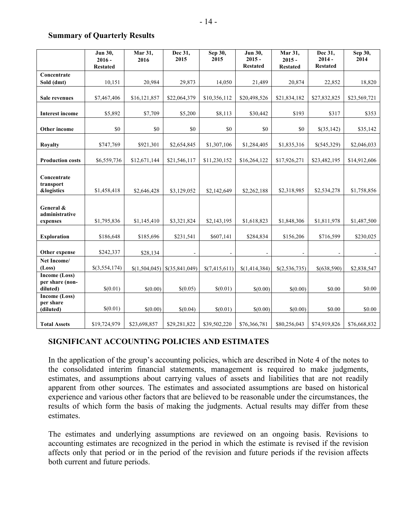#### **Summary of Quarterly Results**

|                                                     | Jun 30,<br>$2016 -$ | Mar 31,<br>2016 | Dec 31,<br>2015                        | Sep 30,<br>2015 | Jun 30,<br>$2015 -$ | Mar 31,<br>$2015 -$ | Dec 31,<br>$2014 -$ | Sep 30,<br>2014 |
|-----------------------------------------------------|---------------------|-----------------|----------------------------------------|-----------------|---------------------|---------------------|---------------------|-----------------|
|                                                     | <b>Restated</b>     |                 |                                        |                 | <b>Restated</b>     | <b>Restated</b>     | <b>Restated</b>     |                 |
| Concentrate                                         |                     |                 |                                        |                 |                     |                     |                     |                 |
| Sold (dmt)                                          | 10,151              | 20,984          | 29,873                                 | 14,050          | 21,489              | 20,874              | 22,852              | 18,820          |
|                                                     |                     |                 |                                        |                 |                     |                     |                     |                 |
| <b>Sale revenues</b>                                | \$7,467,406         | \$16,121,857    | \$22,064,379                           | \$10,356,112    | \$20,498,526        | \$21,834,182        | \$27,832,825        | \$23,569,721    |
| <b>Interest income</b>                              | \$5,892             | \$7,709         | \$5,200                                | \$8,113         | \$30,442            | \$193               | \$317               | \$353           |
|                                                     |                     |                 |                                        |                 |                     |                     |                     |                 |
| Other income                                        | \$0                 | \$0             | \$0                                    | \$0             | \$0                 | \$0                 | \$(35,142)          | \$35,142        |
| <b>Royalty</b>                                      | \$747,769           | \$921,301       | \$2,654,845                            | \$1,307,106     | \$1,284,405         | \$1,835,316         | \$(545,329)         | \$2,046,033     |
| <b>Production costs</b>                             | \$6,559,736         | \$12,671,144    | \$21,546,117                           | \$11,230,152    | \$16,264,122        | \$17,926,271        | \$23,482,195        | \$14,912,606    |
| Concentrate<br>transport<br><b>&amp;logistics</b>   | \$1,458,418         | \$2,646,428     | \$3,129,052                            | \$2,142,649     | \$2,262,188         | \$2,318,985         | \$2,534,278         | \$1,758,856     |
| General &<br>administrative<br>expenses             | \$1,795,836         | \$1,145,410     | \$3,321,824                            | \$2,143,195     | \$1,618,823         | \$1,848,306         | \$1,811,978         | \$1,487,500     |
| <b>Exploration</b>                                  | \$186,648           | \$185,696       | \$231,541                              | \$607,141       | \$284,834           | \$156,206           | \$716,599           | \$230,025       |
| Other expense                                       | \$242,337           | \$28,134        | $\blacksquare$                         | $\blacksquare$  |                     | $\blacksquare$      |                     |                 |
| Net Income/                                         |                     |                 |                                        |                 |                     |                     |                     |                 |
| (Loss)                                              | \$(3,554,174)       |                 | $\{(1, 504, 045)   \$(35, 841, 049)\}$ | \$(7,415,611)   | \$(1,414,384)       | \$(2,536,735)       | \$(638,590)         | \$2,838,547     |
| <b>Income (Loss)</b><br>per share (non-<br>diluted) | \$(0.01)            | \$(0.00)        | \$(0.05)                               | \$(0.01)        | \$(0.00)            | \$(0.00)            | \$0.00              | \$0.00          |
| Income (Loss)                                       |                     |                 |                                        |                 |                     |                     |                     |                 |
| per share<br>(diluted)                              | \$(0.01)            | \$(0.00)        | \$(0.04)                               | \$(0.01)        | \$(0.00)            | \$(0.00)            | \$0.00              | \$0.00          |
| <b>Total Assets</b>                                 | \$19,724,979        | \$23,698,857    | \$29,281,822                           | \$39,502,220    | \$76,366,781        | \$80,256,043        | \$74,919,826        | \$76,668,832    |

## **SIGNIFICANT ACCOUNTING POLICIES AND ESTIMATES**

In the application of the group's accounting policies, which are described in Note 4 of the notes to the consolidated interim financial statements, management is required to make judgments, estimates, and assumptions about carrying values of assets and liabilities that are not readily apparent from other sources. The estimates and associated assumptions are based on historical experience and various other factors that are believed to be reasonable under the circumstances, the results of which form the basis of making the judgments. Actual results may differ from these estimates.

The estimates and underlying assumptions are reviewed on an ongoing basis. Revisions to accounting estimates are recognized in the period in which the estimate is revised if the revision affects only that period or in the period of the revision and future periods if the revision affects both current and future periods.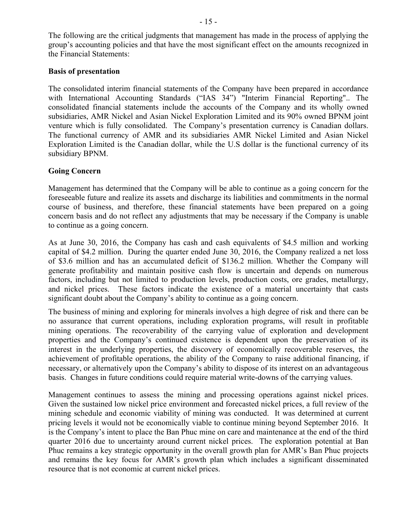## **Basis of presentation**

The consolidated interim financial statements of the Company have been prepared in accordance with International Accounting Standards ("IAS 34") "Interim Financial Reporting".. The consolidated financial statements include the accounts of the Company and its wholly owned subsidiaries, AMR Nickel and Asian Nickel Exploration Limited and its 90% owned BPNM joint venture which is fully consolidated. The Company's presentation currency is Canadian dollars. The functional currency of AMR and its subsidiaries AMR Nickel Limited and Asian Nickel Exploration Limited is the Canadian dollar, while the U.S dollar is the functional currency of its subsidiary BPNM.

#### **Going Concern**

Management has determined that the Company will be able to continue as a going concern for the foreseeable future and realize its assets and discharge its liabilities and commitments in the normal course of business, and therefore, these financial statements have been prepared on a going concern basis and do not reflect any adjustments that may be necessary if the Company is unable to continue as a going concern.

As at June 30, 2016, the Company has cash and cash equivalents of \$4.5 million and working capital of \$4.2 million. During the quarter ended June 30, 2016, the Company realized a net loss of \$3.6 million and has an accumulated deficit of \$136.2 million. Whether the Company will generate profitability and maintain positive cash flow is uncertain and depends on numerous factors, including but not limited to production levels, production costs, ore grades, metallurgy, and nickel prices. These factors indicate the existence of a material uncertainty that casts significant doubt about the Company's ability to continue as a going concern.

The business of mining and exploring for minerals involves a high degree of risk and there can be no assurance that current operations, including exploration programs, will result in profitable mining operations. The recoverability of the carrying value of exploration and development properties and the Company's continued existence is dependent upon the preservation of its interest in the underlying properties, the discovery of economically recoverable reserves, the achievement of profitable operations, the ability of the Company to raise additional financing, if necessary, or alternatively upon the Company's ability to dispose of its interest on an advantageous basis. Changes in future conditions could require material write-downs of the carrying values.

Management continues to assess the mining and processing operations against nickel prices. Given the sustained low nickel price environment and forecasted nickel prices, a full review of the mining schedule and economic viability of mining was conducted. It was determined at current pricing levels it would not be economically viable to continue mining beyond September 2016. It is the Company's intent to place the Ban Phuc mine on care and maintenance at the end of the third quarter 2016 due to uncertainty around current nickel prices. The exploration potential at Ban Phuc remains a key strategic opportunity in the overall growth plan for AMR's Ban Phuc projects and remains the key focus for AMR's growth plan which includes a significant disseminated resource that is not economic at current nickel prices.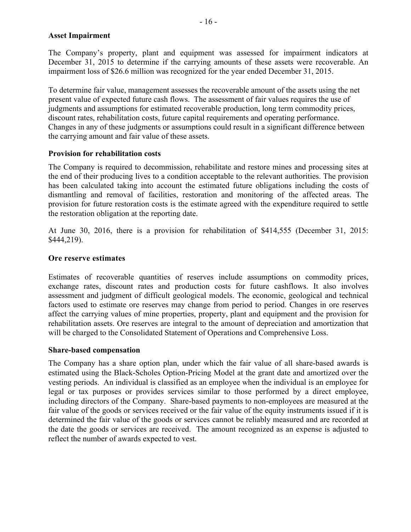## **Asset Impairment**

The Company's property, plant and equipment was assessed for impairment indicators at December 31, 2015 to determine if the carrying amounts of these assets were recoverable. An impairment loss of \$26.6 million was recognized for the year ended December 31, 2015.

To determine fair value, management assesses the recoverable amount of the assets using the net present value of expected future cash flows. The assessment of fair values requires the use of judgments and assumptions for estimated recoverable production, long term commodity prices, discount rates, rehabilitation costs, future capital requirements and operating performance. Changes in any of these judgments or assumptions could result in a significant difference between the carrying amount and fair value of these assets.

## **Provision for rehabilitation costs**

The Company is required to decommission, rehabilitate and restore mines and processing sites at the end of their producing lives to a condition acceptable to the relevant authorities. The provision has been calculated taking into account the estimated future obligations including the costs of dismantling and removal of facilities, restoration and monitoring of the affected areas. The provision for future restoration costs is the estimate agreed with the expenditure required to settle the restoration obligation at the reporting date.

At June 30, 2016, there is a provision for rehabilitation of \$414,555 (December 31, 2015: \$444,219).

#### **Ore reserve estimates**

Estimates of recoverable quantities of reserves include assumptions on commodity prices, exchange rates, discount rates and production costs for future cashflows. It also involves assessment and judgment of difficult geological models. The economic, geological and technical factors used to estimate ore reserves may change from period to period. Changes in ore reserves affect the carrying values of mine properties, property, plant and equipment and the provision for rehabilitation assets. Ore reserves are integral to the amount of depreciation and amortization that will be charged to the Consolidated Statement of Operations and Comprehensive Loss.

#### **Share-based compensation**

The Company has a share option plan, under which the fair value of all share-based awards is estimated using the Black-Scholes Option-Pricing Model at the grant date and amortized over the vesting periods. An individual is classified as an employee when the individual is an employee for legal or tax purposes or provides services similar to those performed by a direct employee, including directors of the Company. Share-based payments to non-employees are measured at the fair value of the goods or services received or the fair value of the equity instruments issued if it is determined the fair value of the goods or services cannot be reliably measured and are recorded at the date the goods or services are received. The amount recognized as an expense is adjusted to reflect the number of awards expected to vest.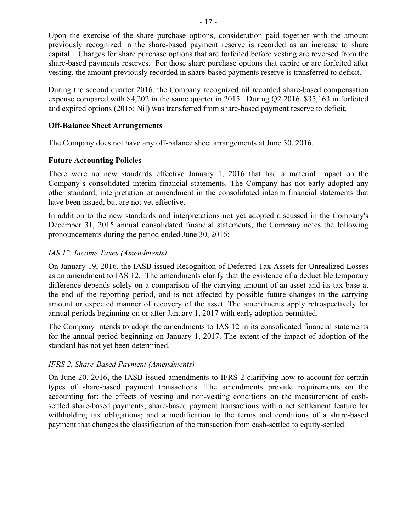Upon the exercise of the share purchase options, consideration paid together with the amount previously recognized in the share-based payment reserve is recorded as an increase to share capital. Charges for share purchase options that are forfeited before vesting are reversed from the share-based payments reserves. For those share purchase options that expire or are forfeited after vesting, the amount previously recorded in share-based payments reserve is transferred to deficit.

During the second quarter 2016, the Company recognized nil recorded share-based compensation expense compared with \$4,202 in the same quarter in 2015. During Q2 2016, \$35,163 in forfeited and expired options (2015: Nil) was transferred from share-based payment reserve to deficit.

## **Off-Balance Sheet Arrangements**

The Company does not have any off-balance sheet arrangements at June 30, 2016.

## **Future Accounting Policies**

There were no new standards effective January 1, 2016 that had a material impact on the Company's consolidated interim financial statements. The Company has not early adopted any other standard, interpretation or amendment in the consolidated interim financial statements that have been issued, but are not yet effective.

In addition to the new standards and interpretations not yet adopted discussed in the Company's December 31, 2015 annual consolidated financial statements, the Company notes the following pronouncements during the period ended June 30, 2016:

## *IAS 12, Income Taxes (Amendments)*

On January 19, 2016, the IASB issued Recognition of Deferred Tax Assets for Unrealized Losses as an amendment to IAS 12. The amendments clarify that the existence of a deductible temporary difference depends solely on a comparison of the carrying amount of an asset and its tax base at the end of the reporting period, and is not affected by possible future changes in the carrying amount or expected manner of recovery of the asset. The amendments apply retrospectively for annual periods beginning on or after January 1, 2017 with early adoption permitted.

The Company intends to adopt the amendments to IAS 12 in its consolidated financial statements for the annual period beginning on January 1, 2017. The extent of the impact of adoption of the standard has not yet been determined.

## *IFRS 2, Share-Based Payment (Amendments)*

On June 20, 2016, the IASB issued amendments to IFRS 2 clarifying how to account for certain types of share-based payment transactions. The amendments provide requirements on the accounting for: the effects of vesting and non-vesting conditions on the measurement of cashsettled share-based payments; share-based payment transactions with a net settlement feature for withholding tax obligations; and a modification to the terms and conditions of a share-based payment that changes the classification of the transaction from cash-settled to equity-settled.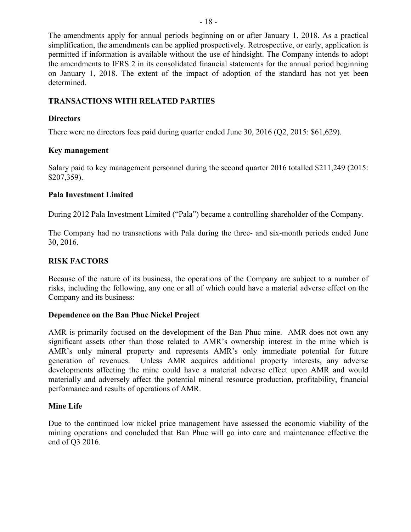The amendments apply for annual periods beginning on or after January 1, 2018. As a practical simplification, the amendments can be applied prospectively. Retrospective, or early, application is permitted if information is available without the use of hindsight. The Company intends to adopt the amendments to IFRS 2 in its consolidated financial statements for the annual period beginning on January 1, 2018. The extent of the impact of adoption of the standard has not yet been determined.

# **TRANSACTIONS WITH RELATED PARTIES**

## **Directors**

There were no directors fees paid during quarter ended June 30, 2016 (Q2, 2015: \$61,629).

# **Key management**

Salary paid to key management personnel during the second quarter 2016 totalled \$211,249 (2015: \$207,359).

# **Pala Investment Limited**

During 2012 Pala Investment Limited ("Pala") became a controlling shareholder of the Company.

The Company had no transactions with Pala during the three- and six-month periods ended June 30, 2016.

# **RISK FACTORS**

Because of the nature of its business, the operations of the Company are subject to a number of risks, including the following, any one or all of which could have a material adverse effect on the Company and its business:

## **Dependence on the Ban Phuc Nickel Project**

AMR is primarily focused on the development of the Ban Phuc mine. AMR does not own any significant assets other than those related to AMR's ownership interest in the mine which is AMR's only mineral property and represents AMR's only immediate potential for future generation of revenues. Unless AMR acquires additional property interests, any adverse developments affecting the mine could have a material adverse effect upon AMR and would materially and adversely affect the potential mineral resource production, profitability, financial performance and results of operations of AMR.

# **Mine Life**

Due to the continued low nickel price management have assessed the economic viability of the mining operations and concluded that Ban Phuc will go into care and maintenance effective the end of Q3 2016.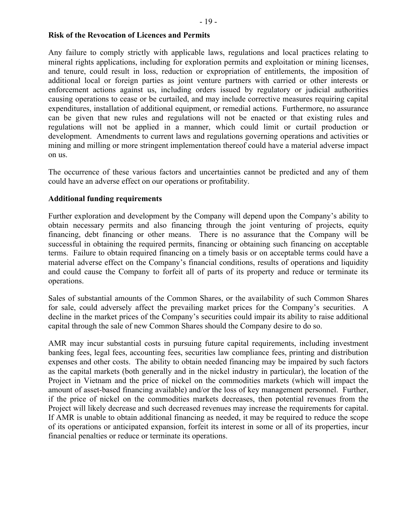#### **Risk of the Revocation of Licences and Permits**

Any failure to comply strictly with applicable laws, regulations and local practices relating to mineral rights applications, including for exploration permits and exploitation or mining licenses, and tenure, could result in loss, reduction or expropriation of entitlements, the imposition of additional local or foreign parties as joint venture partners with carried or other interests or enforcement actions against us, including orders issued by regulatory or judicial authorities causing operations to cease or be curtailed, and may include corrective measures requiring capital expenditures, installation of additional equipment, or remedial actions. Furthermore, no assurance can be given that new rules and regulations will not be enacted or that existing rules and regulations will not be applied in a manner, which could limit or curtail production or development. Amendments to current laws and regulations governing operations and activities or mining and milling or more stringent implementation thereof could have a material adverse impact on us.

The occurrence of these various factors and uncertainties cannot be predicted and any of them could have an adverse effect on our operations or profitability.

#### **Additional funding requirements**

Further exploration and development by the Company will depend upon the Company's ability to obtain necessary permits and also financing through the joint venturing of projects, equity financing, debt financing or other means. There is no assurance that the Company will be successful in obtaining the required permits, financing or obtaining such financing on acceptable terms. Failure to obtain required financing on a timely basis or on acceptable terms could have a material adverse effect on the Company's financial conditions, results of operations and liquidity and could cause the Company to forfeit all of parts of its property and reduce or terminate its operations.

Sales of substantial amounts of the Common Shares, or the availability of such Common Shares for sale, could adversely affect the prevailing market prices for the Company's securities. A decline in the market prices of the Company's securities could impair its ability to raise additional capital through the sale of new Common Shares should the Company desire to do so.

AMR may incur substantial costs in pursuing future capital requirements, including investment banking fees, legal fees, accounting fees, securities law compliance fees, printing and distribution expenses and other costs. The ability to obtain needed financing may be impaired by such factors as the capital markets (both generally and in the nickel industry in particular), the location of the Project in Vietnam and the price of nickel on the commodities markets (which will impact the amount of asset-based financing available) and/or the loss of key management personnel. Further, if the price of nickel on the commodities markets decreases, then potential revenues from the Project will likely decrease and such decreased revenues may increase the requirements for capital. If AMR is unable to obtain additional financing as needed, it may be required to reduce the scope of its operations or anticipated expansion, forfeit its interest in some or all of its properties, incur financial penalties or reduce or terminate its operations.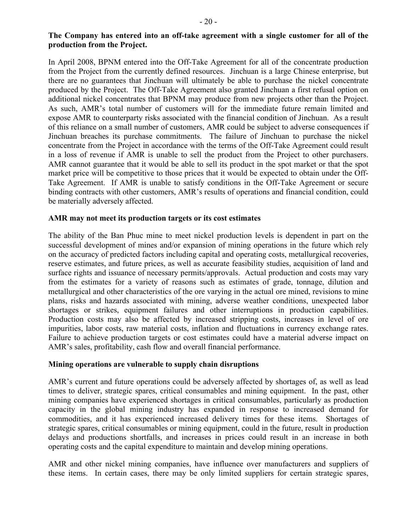## **The Company has entered into an off-take agreement with a single customer for all of the production from the Project.**

In April 2008, BPNM entered into the Off-Take Agreement for all of the concentrate production from the Project from the currently defined resources. Jinchuan is a large Chinese enterprise, but there are no guarantees that Jinchuan will ultimately be able to purchase the nickel concentrate produced by the Project. The Off-Take Agreement also granted Jinchuan a first refusal option on additional nickel concentrates that BPNM may produce from new projects other than the Project. As such, AMR's total number of customers will for the immediate future remain limited and expose AMR to counterparty risks associated with the financial condition of Jinchuan. As a result of this reliance on a small number of customers, AMR could be subject to adverse consequences if Jinchuan breaches its purchase commitments. The failure of Jinchuan to purchase the nickel concentrate from the Project in accordance with the terms of the Off-Take Agreement could result in a loss of revenue if AMR is unable to sell the product from the Project to other purchasers. AMR cannot guarantee that it would be able to sell its product in the spot market or that the spot market price will be competitive to those prices that it would be expected to obtain under the Off-Take Agreement. If AMR is unable to satisfy conditions in the Off-Take Agreement or secure binding contracts with other customers, AMR's results of operations and financial condition, could be materially adversely affected.

## **AMR may not meet its production targets or its cost estimates**

The ability of the Ban Phuc mine to meet nickel production levels is dependent in part on the successful development of mines and/or expansion of mining operations in the future which rely on the accuracy of predicted factors including capital and operating costs, metallurgical recoveries, reserve estimates, and future prices, as well as accurate feasibility studies, acquisition of land and surface rights and issuance of necessary permits/approvals. Actual production and costs may vary from the estimates for a variety of reasons such as estimates of grade, tonnage, dilution and metallurgical and other characteristics of the ore varying in the actual ore mined, revisions to mine plans, risks and hazards associated with mining, adverse weather conditions, unexpected labor shortages or strikes, equipment failures and other interruptions in production capabilities. Production costs may also be affected by increased stripping costs, increases in level of ore impurities, labor costs, raw material costs, inflation and fluctuations in currency exchange rates. Failure to achieve production targets or cost estimates could have a material adverse impact on AMR's sales, profitability, cash flow and overall financial performance.

## **Mining operations are vulnerable to supply chain disruptions**

AMR's current and future operations could be adversely affected by shortages of, as well as lead times to deliver, strategic spares, critical consumables and mining equipment. In the past, other mining companies have experienced shortages in critical consumables, particularly as production capacity in the global mining industry has expanded in response to increased demand for commodities, and it has experienced increased delivery times for these items. Shortages of strategic spares, critical consumables or mining equipment, could in the future, result in production delays and productions shortfalls, and increases in prices could result in an increase in both operating costs and the capital expenditure to maintain and develop mining operations.

AMR and other nickel mining companies, have influence over manufacturers and suppliers of these items. In certain cases, there may be only limited suppliers for certain strategic spares,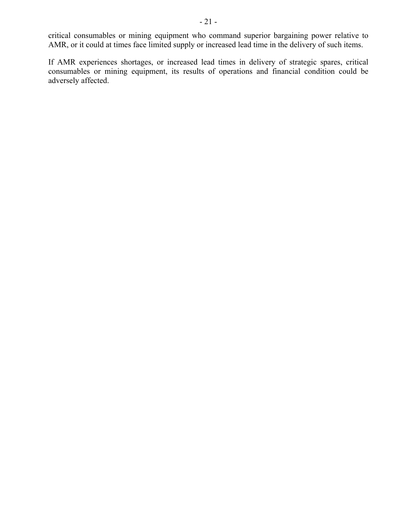critical consumables or mining equipment who command superior bargaining power relative to AMR, or it could at times face limited supply or increased lead time in the delivery of such items.

If AMR experiences shortages, or increased lead times in delivery of strategic spares, critical consumables or mining equipment, its results of operations and financial condition could be adversely affected.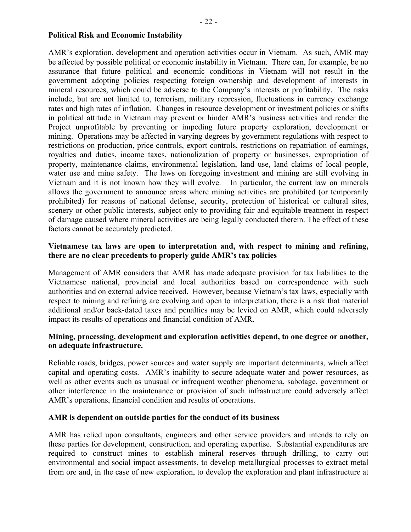## **Political Risk and Economic Instability**

AMR's exploration, development and operation activities occur in Vietnam. As such, AMR may be affected by possible political or economic instability in Vietnam. There can, for example, be no assurance that future political and economic conditions in Vietnam will not result in the government adopting policies respecting foreign ownership and development of interests in mineral resources, which could be adverse to the Company's interests or profitability. The risks include, but are not limited to, terrorism, military repression, fluctuations in currency exchange rates and high rates of inflation. Changes in resource development or investment policies or shifts in political attitude in Vietnam may prevent or hinder AMR's business activities and render the Project unprofitable by preventing or impeding future property exploration, development or mining. Operations may be affected in varying degrees by government regulations with respect to restrictions on production, price controls, export controls, restrictions on repatriation of earnings, royalties and duties, income taxes, nationalization of property or businesses, expropriation of property, maintenance claims, environmental legislation, land use, land claims of local people, water use and mine safety. The laws on foregoing investment and mining are still evolving in Vietnam and it is not known how they will evolve. In particular, the current law on minerals allows the government to announce areas where mining activities are prohibited (or temporarily prohibited) for reasons of national defense, security, protection of historical or cultural sites, scenery or other public interests, subject only to providing fair and equitable treatment in respect of damage caused where mineral activities are being legally conducted therein. The effect of these factors cannot be accurately predicted.

## **Vietnamese tax laws are open to interpretation and, with respect to mining and refining, there are no clear precedents to properly guide AMR's tax policies**

Management of AMR considers that AMR has made adequate provision for tax liabilities to the Vietnamese national, provincial and local authorities based on correspondence with such authorities and on external advice received. However, because Vietnam's tax laws, especially with respect to mining and refining are evolving and open to interpretation, there is a risk that material additional and/or back-dated taxes and penalties may be levied on AMR, which could adversely impact its results of operations and financial condition of AMR.

## **Mining, processing, development and exploration activities depend, to one degree or another, on adequate infrastructure.**

Reliable roads, bridges, power sources and water supply are important determinants, which affect capital and operating costs. AMR's inability to secure adequate water and power resources, as well as other events such as unusual or infrequent weather phenomena, sabotage, government or other interference in the maintenance or provision of such infrastructure could adversely affect AMR's operations, financial condition and results of operations.

## **AMR is dependent on outside parties for the conduct of its business**

AMR has relied upon consultants, engineers and other service providers and intends to rely on these parties for development, construction, and operating expertise. Substantial expenditures are required to construct mines to establish mineral reserves through drilling, to carry out environmental and social impact assessments, to develop metallurgical processes to extract metal from ore and, in the case of new exploration, to develop the exploration and plant infrastructure at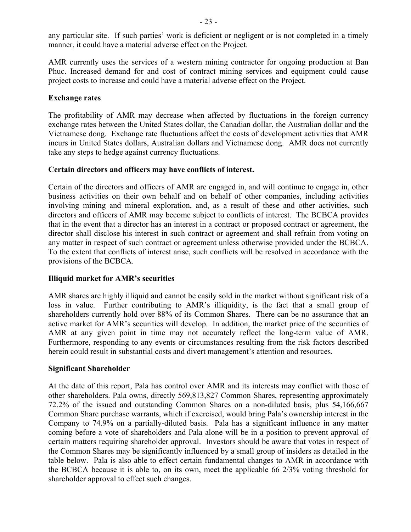any particular site. If such parties' work is deficient or negligent or is not completed in a timely manner, it could have a material adverse effect on the Project.

AMR currently uses the services of a western mining contractor for ongoing production at Ban Phuc. Increased demand for and cost of contract mining services and equipment could cause project costs to increase and could have a material adverse effect on the Project.

## **Exchange rates**

The profitability of AMR may decrease when affected by fluctuations in the foreign currency exchange rates between the United States dollar, the Canadian dollar, the Australian dollar and the Vietnamese dong. Exchange rate fluctuations affect the costs of development activities that AMR incurs in United States dollars, Australian dollars and Vietnamese dong. AMR does not currently take any steps to hedge against currency fluctuations.

## **Certain directors and officers may have conflicts of interest.**

Certain of the directors and officers of AMR are engaged in, and will continue to engage in, other business activities on their own behalf and on behalf of other companies, including activities involving mining and mineral exploration, and, as a result of these and other activities, such directors and officers of AMR may become subject to conflicts of interest. The BCBCA provides that in the event that a director has an interest in a contract or proposed contract or agreement, the director shall disclose his interest in such contract or agreement and shall refrain from voting on any matter in respect of such contract or agreement unless otherwise provided under the BCBCA. To the extent that conflicts of interest arise, such conflicts will be resolved in accordance with the provisions of the BCBCA.

## **Illiquid market for AMR's securities**

AMR shares are highly illiquid and cannot be easily sold in the market without significant risk of a loss in value. Further contributing to AMR's illiquidity, is the fact that a small group of shareholders currently hold over 88% of its Common Shares. There can be no assurance that an active market for AMR's securities will develop. In addition, the market price of the securities of AMR at any given point in time may not accurately reflect the long-term value of AMR. Furthermore, responding to any events or circumstances resulting from the risk factors described herein could result in substantial costs and divert management's attention and resources.

## **Significant Shareholder**

At the date of this report, Pala has control over AMR and its interests may conflict with those of other shareholders. Pala owns, directly 569,813,827 Common Shares, representing approximately 72.2% of the issued and outstanding Common Shares on a non-diluted basis, plus 54,166,667 Common Share purchase warrants, which if exercised, would bring Pala's ownership interest in the Company to 74.9% on a partially-diluted basis. Pala has a significant influence in any matter coming before a vote of shareholders and Pala alone will be in a position to prevent approval of certain matters requiring shareholder approval. Investors should be aware that votes in respect of the Common Shares may be significantly influenced by a small group of insiders as detailed in the table below. Pala is also able to effect certain fundamental changes to AMR in accordance with the BCBCA because it is able to, on its own, meet the applicable 66 2/3% voting threshold for shareholder approval to effect such changes.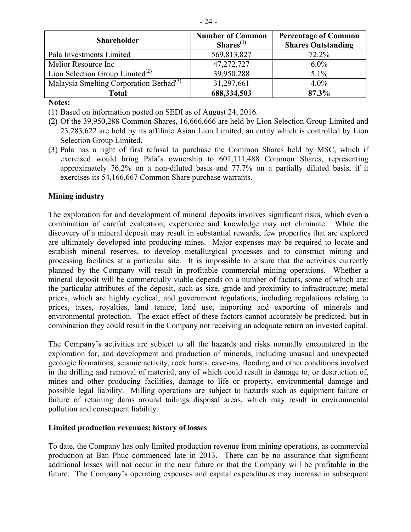| <b>Shareholder</b>                                  | <b>Number of Common</b><br>Shares <sup>(1)</sup> | <b>Percentage of Common</b><br><b>Shares Outstanding</b> |  |
|-----------------------------------------------------|--------------------------------------------------|----------------------------------------------------------|--|
| Pala Investments Limited                            | 569,813,827                                      | 72.2%                                                    |  |
| Melior Resource Inc                                 | 47,272,727                                       | $6.0\%$                                                  |  |
| Lion Selection Group Limited <sup>(2)</sup>         | 39,950,288                                       | $5.1\%$                                                  |  |
| Malaysia Smelting Corporation Berhad <sup>(3)</sup> | 31,297,661                                       | $4.0\%$                                                  |  |
| Total                                               | 688,334,503                                      | 87.3%                                                    |  |

**Notes:**

(1) Based on information posted on SEDI as of August 24, 2016.

- (2) Of the 39,950,288 Common Shares, 16,666,666 are held by Lion Selection Group Limited and 23,283,622 are held by its affiliate Asian Lion Limited, an entity which is controlled by Lion Selection Group Limited.
- (3) Pala has a right of first refusal to purchase the Common Shares held by MSC, which if exercised would bring Pala's ownership to 601,111,488 Common Shares, representing approximately 76.2% on a non-diluted basis and 77.7% on a partially diluted basis, if it exercises its 54,166,667 Common Share purchase warrants.

# **Mining industry**

The exploration for and development of mineral deposits involves significant risks, which even a combination of careful evaluation, experience and knowledge may not eliminate. While the discovery of a mineral deposit may result in substantial rewards, few properties that are explored are ultimately developed into producing mines. Major expenses may be required to locate and establish mineral reserves, to develop metallurgical processes and to construct mining and processing facilities at a particular site. It is impossible to ensure that the activities currently planned by the Company will result in profitable commercial mining operations. Whether a mineral deposit will be commercially viable depends on a number of factors, some of which are: the particular attributes of the deposit, such as size, grade and proximity to infrastructure; metal prices, which are highly cyclical; and government regulations, including regulations relating to prices, taxes, royalties, land tenure, land use, importing and exporting of minerals and environmental protection. The exact effect of these factors cannot accurately be predicted, but in combination they could result in the Company not receiving an adequate return on invested capital.

The Company's activities are subject to all the hazards and risks normally encountered in the exploration for, and development and production of minerals, including unusual and unexpected geologic formations, seismic activity, rock bursts, cave-ins, flooding and other conditions involved in the drilling and removal of material, any of which could result in damage to, or destruction of, mines and other producing facilities, damage to life or property, environmental damage and possible legal liability. Milling operations are subject to hazards such as equipment failure or failure of retaining dams around tailings disposal areas, which may result in environmental pollution and consequent liability.

## **Limited production revenues; history of losses**

To date, the Company has only limited production revenue from mining operations, as commercial production at Ban Phuc commenced late in 2013. There can be no assurance that significant additional losses will not occur in the near future or that the Company will be profitable in the future. The Company's operating expenses and capital expenditures may increase in subsequent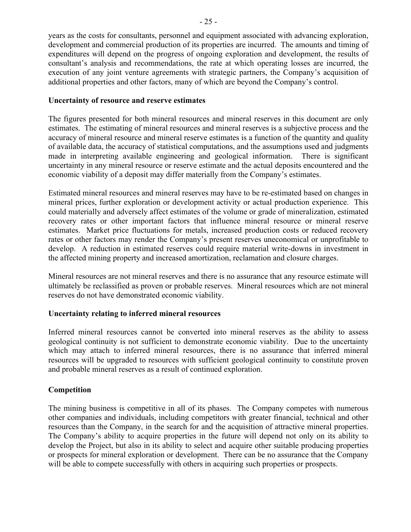years as the costs for consultants, personnel and equipment associated with advancing exploration, development and commercial production of its properties are incurred. The amounts and timing of expenditures will depend on the progress of ongoing exploration and development, the results of consultant's analysis and recommendations, the rate at which operating losses are incurred, the execution of any joint venture agreements with strategic partners, the Company's acquisition of additional properties and other factors, many of which are beyond the Company's control.

#### **Uncertainty of resource and reserve estimates**

The figures presented for both mineral resources and mineral reserves in this document are only estimates. The estimating of mineral resources and mineral reserves is a subjective process and the accuracy of mineral resource and mineral reserve estimates is a function of the quantity and quality of available data, the accuracy of statistical computations, and the assumptions used and judgments made in interpreting available engineering and geological information. There is significant uncertainty in any mineral resource or reserve estimate and the actual deposits encountered and the economic viability of a deposit may differ materially from the Company's estimates.

Estimated mineral resources and mineral reserves may have to be re-estimated based on changes in mineral prices, further exploration or development activity or actual production experience. This could materially and adversely affect estimates of the volume or grade of mineralization, estimated recovery rates or other important factors that influence mineral resource or mineral reserve estimates. Market price fluctuations for metals, increased production costs or reduced recovery rates or other factors may render the Company's present reserves uneconomical or unprofitable to develop. A reduction in estimated reserves could require material write-downs in investment in the affected mining property and increased amortization, reclamation and closure charges.

Mineral resources are not mineral reserves and there is no assurance that any resource estimate will ultimately be reclassified as proven or probable reserves. Mineral resources which are not mineral reserves do not have demonstrated economic viability.

## **Uncertainty relating to inferred mineral resources**

Inferred mineral resources cannot be converted into mineral reserves as the ability to assess geological continuity is not sufficient to demonstrate economic viability. Due to the uncertainty which may attach to inferred mineral resources, there is no assurance that inferred mineral resources will be upgraded to resources with sufficient geological continuity to constitute proven and probable mineral reserves as a result of continued exploration.

## **Competition**

The mining business is competitive in all of its phases. The Company competes with numerous other companies and individuals, including competitors with greater financial, technical and other resources than the Company, in the search for and the acquisition of attractive mineral properties. The Company's ability to acquire properties in the future will depend not only on its ability to develop the Project, but also in its ability to select and acquire other suitable producing properties or prospects for mineral exploration or development. There can be no assurance that the Company will be able to compete successfully with others in acquiring such properties or prospects.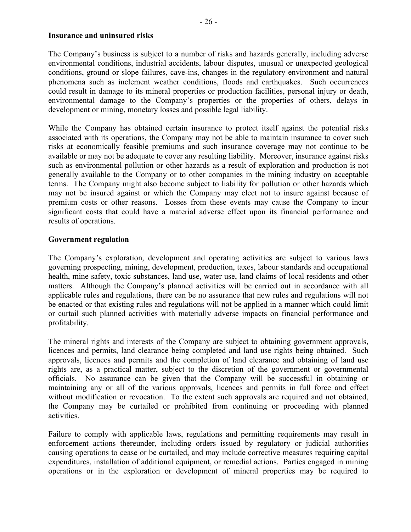The Company's business is subject to a number of risks and hazards generally, including adverse environmental conditions, industrial accidents, labour disputes, unusual or unexpected geological conditions, ground or slope failures, cave-ins, changes in the regulatory environment and natural phenomena such as inclement weather conditions, floods and earthquakes. Such occurrences could result in damage to its mineral properties or production facilities, personal injury or death, environmental damage to the Company's properties or the properties of others, delays in development or mining, monetary losses and possible legal liability.

While the Company has obtained certain insurance to protect itself against the potential risks associated with its operations, the Company may not be able to maintain insurance to cover such risks at economically feasible premiums and such insurance coverage may not continue to be available or may not be adequate to cover any resulting liability. Moreover, insurance against risks such as environmental pollution or other hazards as a result of exploration and production is not generally available to the Company or to other companies in the mining industry on acceptable terms. The Company might also become subject to liability for pollution or other hazards which may not be insured against or which the Company may elect not to insure against because of premium costs or other reasons. Losses from these events may cause the Company to incur significant costs that could have a material adverse effect upon its financial performance and results of operations.

#### **Government regulation**

The Company's exploration, development and operating activities are subject to various laws governing prospecting, mining, development, production, taxes, labour standards and occupational health, mine safety, toxic substances, land use, water use, land claims of local residents and other matters. Although the Company's planned activities will be carried out in accordance with all applicable rules and regulations, there can be no assurance that new rules and regulations will not be enacted or that existing rules and regulations will not be applied in a manner which could limit or curtail such planned activities with materially adverse impacts on financial performance and profitability.

The mineral rights and interests of the Company are subject to obtaining government approvals, licences and permits, land clearance being completed and land use rights being obtained. Such approvals, licences and permits and the completion of land clearance and obtaining of land use rights are, as a practical matter, subject to the discretion of the government or governmental officials. No assurance can be given that the Company will be successful in obtaining or maintaining any or all of the various approvals, licences and permits in full force and effect without modification or revocation. To the extent such approvals are required and not obtained, the Company may be curtailed or prohibited from continuing or proceeding with planned activities.

Failure to comply with applicable laws, regulations and permitting requirements may result in enforcement actions thereunder, including orders issued by regulatory or judicial authorities causing operations to cease or be curtailed, and may include corrective measures requiring capital expenditures, installation of additional equipment, or remedial actions. Parties engaged in mining operations or in the exploration or development of mineral properties may be required to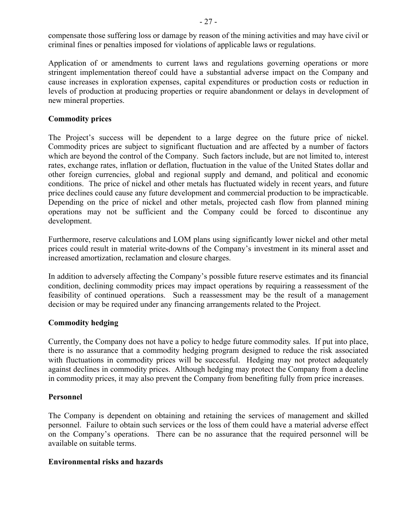compensate those suffering loss or damage by reason of the mining activities and may have civil or criminal fines or penalties imposed for violations of applicable laws or regulations.

Application of or amendments to current laws and regulations governing operations or more stringent implementation thereof could have a substantial adverse impact on the Company and cause increases in exploration expenses, capital expenditures or production costs or reduction in levels of production at producing properties or require abandonment or delays in development of new mineral properties.

## **Commodity prices**

The Project's success will be dependent to a large degree on the future price of nickel. Commodity prices are subject to significant fluctuation and are affected by a number of factors which are beyond the control of the Company. Such factors include, but are not limited to, interest rates, exchange rates, inflation or deflation, fluctuation in the value of the United States dollar and other foreign currencies, global and regional supply and demand, and political and economic conditions. The price of nickel and other metals has fluctuated widely in recent years, and future price declines could cause any future development and commercial production to be impracticable. Depending on the price of nickel and other metals, projected cash flow from planned mining operations may not be sufficient and the Company could be forced to discontinue any development.

Furthermore, reserve calculations and LOM plans using significantly lower nickel and other metal prices could result in material write-downs of the Company's investment in its mineral asset and increased amortization, reclamation and closure charges.

In addition to adversely affecting the Company's possible future reserve estimates and its financial condition, declining commodity prices may impact operations by requiring a reassessment of the feasibility of continued operations. Such a reassessment may be the result of a management decision or may be required under any financing arrangements related to the Project.

## **Commodity hedging**

Currently, the Company does not have a policy to hedge future commodity sales. If put into place, there is no assurance that a commodity hedging program designed to reduce the risk associated with fluctuations in commodity prices will be successful. Hedging may not protect adequately against declines in commodity prices. Although hedging may protect the Company from a decline in commodity prices, it may also prevent the Company from benefiting fully from price increases.

## **Personnel**

The Company is dependent on obtaining and retaining the services of management and skilled personnel. Failure to obtain such services or the loss of them could have a material adverse effect on the Company's operations. There can be no assurance that the required personnel will be available on suitable terms.

## **Environmental risks and hazards**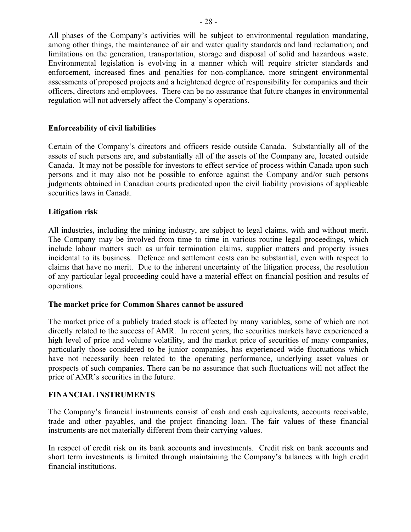All phases of the Company's activities will be subject to environmental regulation mandating, among other things, the maintenance of air and water quality standards and land reclamation; and limitations on the generation, transportation, storage and disposal of solid and hazardous waste. Environmental legislation is evolving in a manner which will require stricter standards and enforcement, increased fines and penalties for non-compliance, more stringent environmental assessments of proposed projects and a heightened degree of responsibility for companies and their officers, directors and employees. There can be no assurance that future changes in environmental regulation will not adversely affect the Company's operations.

## **Enforceability of civil liabilities**

Certain of the Company's directors and officers reside outside Canada. Substantially all of the assets of such persons are, and substantially all of the assets of the Company are, located outside Canada. It may not be possible for investors to effect service of process within Canada upon such persons and it may also not be possible to enforce against the Company and/or such persons judgments obtained in Canadian courts predicated upon the civil liability provisions of applicable securities laws in Canada.

## **Litigation risk**

All industries, including the mining industry, are subject to legal claims, with and without merit. The Company may be involved from time to time in various routine legal proceedings, which include labour matters such as unfair termination claims, supplier matters and property issues incidental to its business. Defence and settlement costs can be substantial, even with respect to claims that have no merit. Due to the inherent uncertainty of the litigation process, the resolution of any particular legal proceeding could have a material effect on financial position and results of operations.

## **The market price for Common Shares cannot be assured**

The market price of a publicly traded stock is affected by many variables, some of which are not directly related to the success of AMR. In recent years, the securities markets have experienced a high level of price and volume volatility, and the market price of securities of many companies, particularly those considered to be junior companies, has experienced wide fluctuations which have not necessarily been related to the operating performance, underlying asset values or prospects of such companies. There can be no assurance that such fluctuations will not affect the price of AMR's securities in the future.

## **FINANCIAL INSTRUMENTS**

The Company's financial instruments consist of cash and cash equivalents, accounts receivable, trade and other payables, and the project financing loan. The fair values of these financial instruments are not materially different from their carrying values.

In respect of credit risk on its bank accounts and investments. Credit risk on bank accounts and short term investments is limited through maintaining the Company's balances with high credit financial institutions.